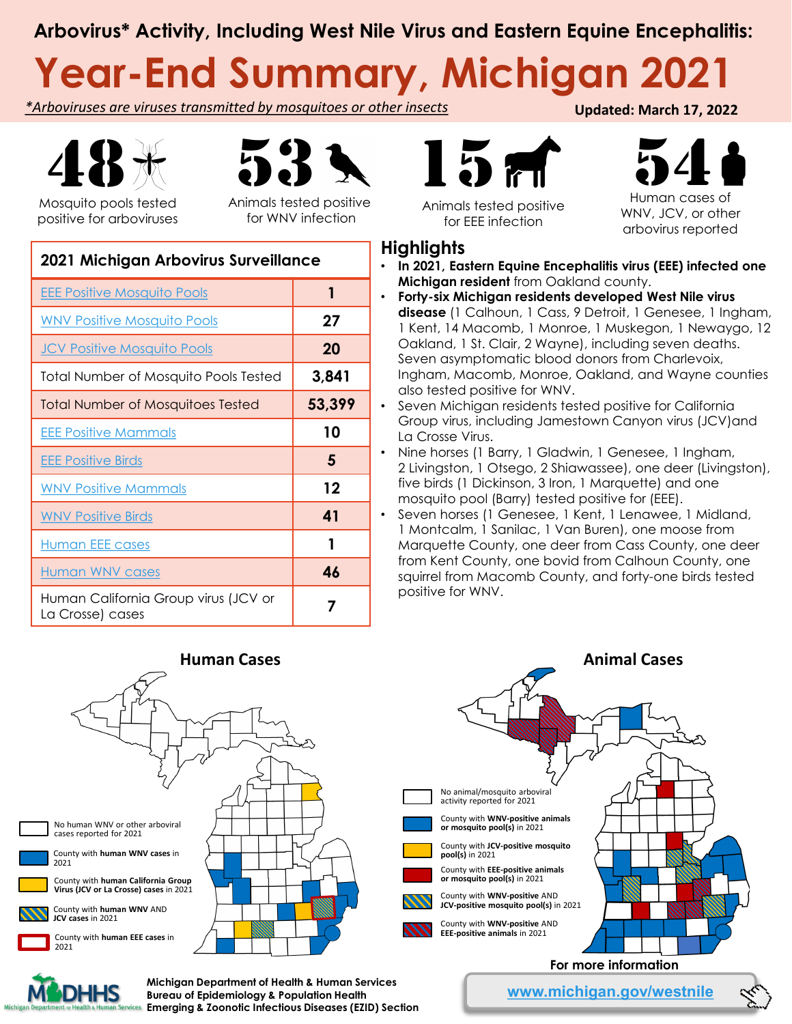### **Arbovirus\* Activity, Including West Nile Virus and Eastern Equine Encephalitis:**

# **Year-End Summary, Michigan 2021**

*\*Arboviruses are viruses transmitted by mosquitoes or other insects*





Mosquito pools tested positive for arboviruses

Animals tested positive for WNV infection

| 2021 Michigan Arbovirus Surveillance                     |        |
|----------------------------------------------------------|--------|
| <b>EEE Positive Mosquito Pools</b>                       | 1      |
| <b>WNV Positive Mosquito Pools</b>                       | 27     |
| <b>JCV Positive Mosquito Pools</b>                       | 20     |
| Total Number of Mosquito Pools Tested                    | 3,841  |
| <b>Total Number of Mosquitoes Tested</b>                 | 53,399 |
| <b>EEE Positive Mammals</b>                              | 10     |
| <b>EEE Positive Birds</b>                                | 5      |
| <b>WNV Positive Mammals</b>                              | 12     |
| <b>WNV Positive Birds</b>                                | 41     |
| Human EEE cases                                          | 1      |
| <b>Human WNV cases</b>                                   | 46     |
| Human California Group virus (JCV or<br>La Crosse) cases | 7      |



Animals tested positive for EEE infection

 $54$ 

**Updated: March 17, 2022**

WNV, JCV, or other arbovirus reported

- **Highlights** • **In 2021, Eastern Equine Encephalitis virus (EEE) infected one Michigan resident** from Oakland county.
- **Forty-six Michigan residents developed West Nile virus disease** (1 Calhoun, 1 Cass, 9 Detroit, 1 Genesee, 1 Ingham, 1 Kent, 14 Macomb, 1 Monroe, 1 Muskegon, 1 Newaygo, 12 Oakland, 1 St. Clair, 2 Wayne), including seven deaths. Seven asymptomatic blood donors from Charlevoix, Ingham, Macomb, Monroe, Oakland, and Wayne counties also tested positive for WNV.
- Seven Michigan residents tested positive for California Group virus, including Jamestown Canyon virus (JCV)and La Crosse Virus.
- Nine horses (1 Barry, 1 Gladwin, 1 Genesee, 1 Ingham, 2 Livingston, 1 Otsego, 2 Shiawassee), one deer (Livingston), five birds (1 Dickinson, 3 Iron, 1 Marquette) and one mosquito pool (Barry) tested positive for (EEE).
	- Seven horses (1 Genesee, 1 Kent, 1 Lenawee, 1 Midland, 1 Montcalm, 1 Sanilac, 1 Van Buren), one moose from Marquette County, one deer from Cass County, one deer from Kent County, one bovid from Calhoun County, one squirrel from Macomb County, and forty-one birds tested positive for WNV.





**Bureau of Epidemiology & Population Health Emerging & Zoonotic Infectious Diseases (EZID) Section**